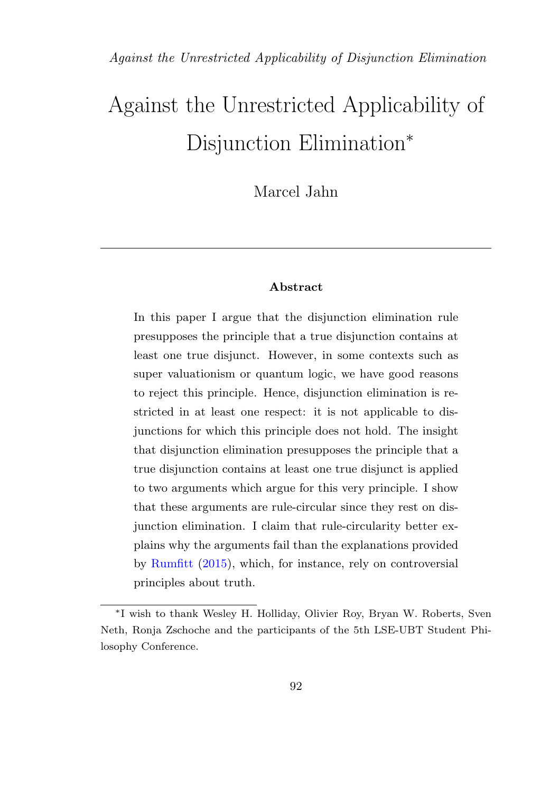# Against the Unrestricted Applicability of Disjunction Elimination<sup>∗</sup>

Marcel Jahn

#### Abstract

In this paper I argue that the disjunction elimination rule presupposes the principle that a true disjunction contains at least one true disjunct. However, in some contexts such as super valuationism or quantum logic, we have good reasons to reject this principle. Hence, disjunction elimination is restricted in at least one respect: it is not applicable to disjunctions for which this principle does not hold. The insight that disjunction elimination presupposes the principle that a true disjunction contains at least one true disjunct is applied to two arguments which argue for this very principle. I show that these arguments are rule-circular since they rest on disjunction elimination. I claim that rule-circularity better explains why the arguments fail than the explanations provided by Rumfitt (2015), which, for instance, rely on controversial principles about truth.

<sup>∗</sup>I wish to thank Wesley H. Holliday, Olivier Roy, Bryan W. Roberts, Sven Neth, Ronja Zschoche and the participants of the 5th LSE-UBT Student Philosophy Conference.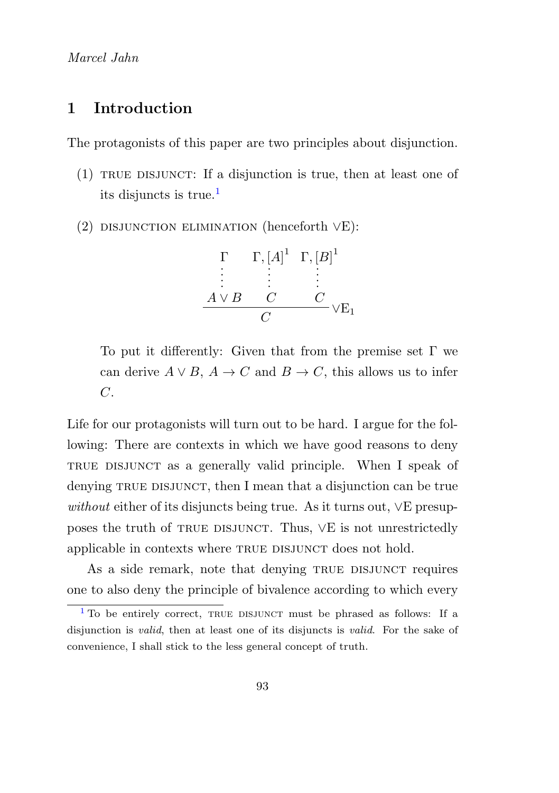## 1 Introduction

The protagonists of this paper are two principles about disjunction.

- $(1)$  TRUE DISJUNCT: If a disjunction is true, then at least one of its disjuncts is true.<sup>1</sup>
- (2) DISJUNCTION ELIMINATION (henceforth  $\vee$ E):



To put it differently: Given that from the premise set  $\Gamma$  we can derive  $A \vee B$ ,  $A \rightarrow C$  and  $B \rightarrow C$ , this allows us to infer  $C$ .

Life for our protagonists will turn out to be hard. I argue for the following: There are contexts in which we have good reasons to deny TRUE DISJUNCT as a generally valid principle. When I speak of denying TRUE DISJUNCT, then I mean that a disjunction can be true without either of its disjuncts being true. As it turns out,  $\vee$ E presupposes the truth of TRUE DISJUNCT. Thus,  $∨E$  is not unrestrictedly applicable in contexts where TRUE DISJUNCT does not hold.

As a side remark, note that denying TRUE DISJUNCT requires one to also deny the principle of bivalence according to which every

 $1$  To be entirely correct, TRUE DISJUNCT must be phrased as follows: If a disjunction is valid, then at least one of its disjuncts is valid. For the sake of convenience, I shall stick to the less general concept of truth.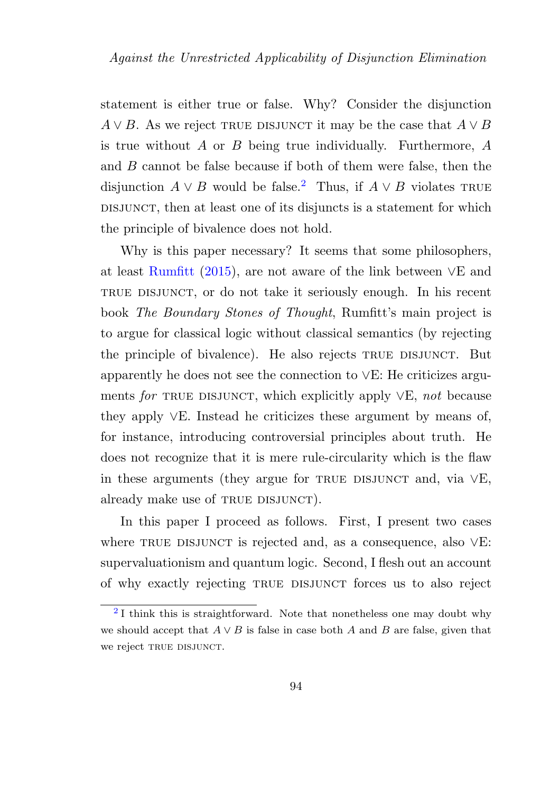statement is either true or false. Why? Consider the disjunction  $A \vee B$ . As we reject TRUE DISJUNCT it may be the case that  $A \vee B$ is true without  $A$  or  $B$  being true individually. Furthermore,  $A$ and B cannot be false because if both of them were false, then the disjunction  $A \vee B$  would be false.<sup>2</sup> Thus, if  $A \vee B$  violates TRUE DISJUNCT, then at least one of its disjuncts is a statement for which the principle of bivalence does not hold.

Why is this paper necessary? It seems that some philosophers, at least Rumfitt (2015), are not aware of the link between ∨E and TRUE DISJUNCT, or do not take it seriously enough. In his recent book The Boundary Stones of Thought, Rumfitt's main project is to argue for classical logic without classical semantics (by rejecting the principle of bivalence). He also rejects TRUE DISJUNCT. But apparently he does not see the connection to ∨E: He criticizes arguments for TRUE DISJUNCT, which explicitly apply  $\forall E$ , not because they apply ∨E. Instead he criticizes these argument by means of, for instance, introducing controversial principles about truth. He does not recognize that it is mere rule-circularity which is the flaw in these arguments (they argue for TRUE DISJUNCT and, via  $\vee$ E, already make use of TRUE DISJUNCT).

In this paper I proceed as follows. First, I present two cases where TRUE DISJUNCT is rejected and, as a consequence, also  $\vee$ E: supervaluationism and quantum logic. Second, I flesh out an account of why exactly rejecting true disjunct forces us to also reject

<sup>&</sup>lt;sup>2</sup>I think this is straightforward. Note that nonetheless one may doubt why we should accept that  $A \vee B$  is false in case both A and B are false, given that we reject TRUE DISJUNCT.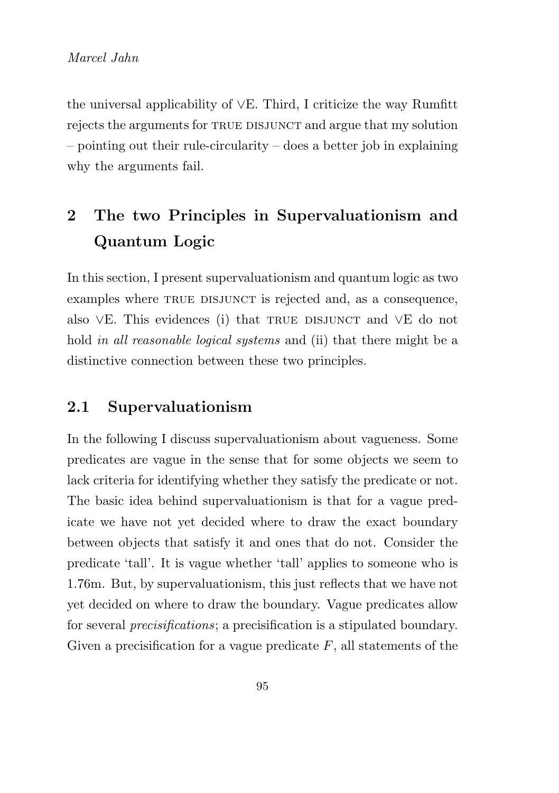the universal applicability of ∨E. Third, I criticize the way Rumfitt rejects the arguments for TRUE DISJUNCT and argue that my solution – pointing out their rule-circularity – does a better job in explaining why the arguments fail.

## 2 The two Principles in Supervaluationism and Quantum Logic

In this section, I present supervaluationism and quantum logic as two examples where TRUE DISJUNCT is rejected and, as a consequence, also  $\vee$ E. This evidences (i) that true DISJUNCT and  $\vee$ E do not hold *in all reasonable logical systems* and (ii) that there might be a distinctive connection between these two principles.

## 2.1 Supervaluationism

In the following I discuss supervaluationism about vagueness. Some predicates are vague in the sense that for some objects we seem to lack criteria for identifying whether they satisfy the predicate or not. The basic idea behind supervaluationism is that for a vague predicate we have not yet decided where to draw the exact boundary between objects that satisfy it and ones that do not. Consider the predicate 'tall'. It is vague whether 'tall' applies to someone who is 1.76m. But, by supervaluationism, this just reflects that we have not yet decided on where to draw the boundary. Vague predicates allow for several precisifications; a precisification is a stipulated boundary. Given a precisification for a vague predicate  $F$ , all statements of the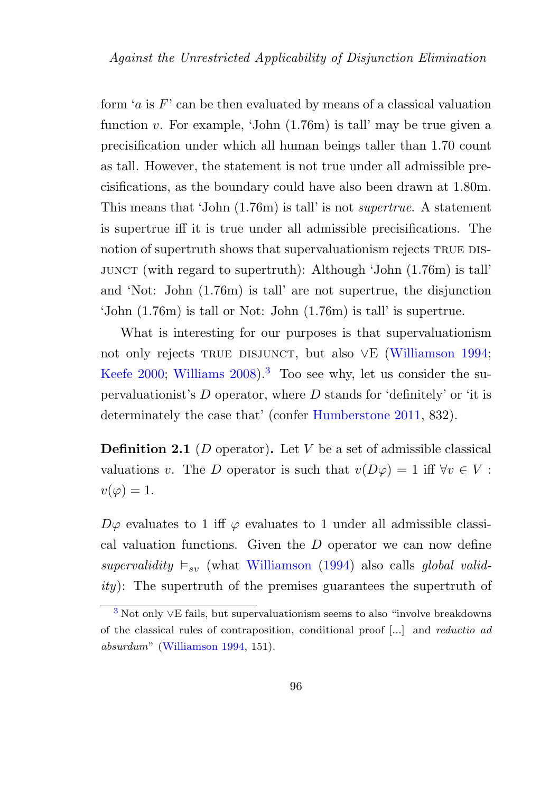form  $a$  is  $F'$  can be then evaluated by means of a classical valuation function  $v$ . For example, 'John  $(1.76m)$  is tall' may be true given a precisification under which all human beings taller than 1.70 count as tall. However, the statement is not true under all admissible precisifications, as the boundary could have also been drawn at 1.80m. This means that 'John (1.76m) is tall' is not supertrue. A statement is supertrue iff it is true under all admissible precisifications. The notion of supertruth shows that supervaluationism rejects TRUE DIS- $JUNCT$  (with regard to supertruth): Although ' $John (1.76m)$  is tall' and 'Not: John (1.76m) is tall' are not supertrue, the disjunction 'John (1.76m) is tall or Not: John (1.76m) is tall' is supertrue.

What is interesting for our purposes is that supervaluationism not only rejects TRUE DISJUNCT, but also ∨E (Williamson 1994; Keefe  $2000$ ; Williams  $2008$ ).<sup>3</sup> Too see why, let us consider the supervaluationist's  $D$  operator, where  $D$  stands for 'definitely' or 'it is determinately the case that' (confer Humberstone 2011, 832).

**Definition 2.1** (D operator). Let V be a set of admissible classical valuations v. The D operator is such that  $v(D\varphi) = 1$  iff  $\forall v \in V$ :  $v(\varphi)=1.$ 

 $D\varphi$  evaluates to 1 iff  $\varphi$  evaluates to 1 under all admissible classical valuation functions. Given the D operator we can now define supervalidity  $\varepsilon_{sv}$  (what Williamson (1994) also calls global valid $ity$ : The supertruth of the premises guarantees the supertruth of

<sup>3</sup> Not only ∨E fails, but supervaluationism seems to also "involve breakdowns of the classical rules of contraposition, conditional proof [...] and reductio ad absurdum" (Williamson 1994, 151).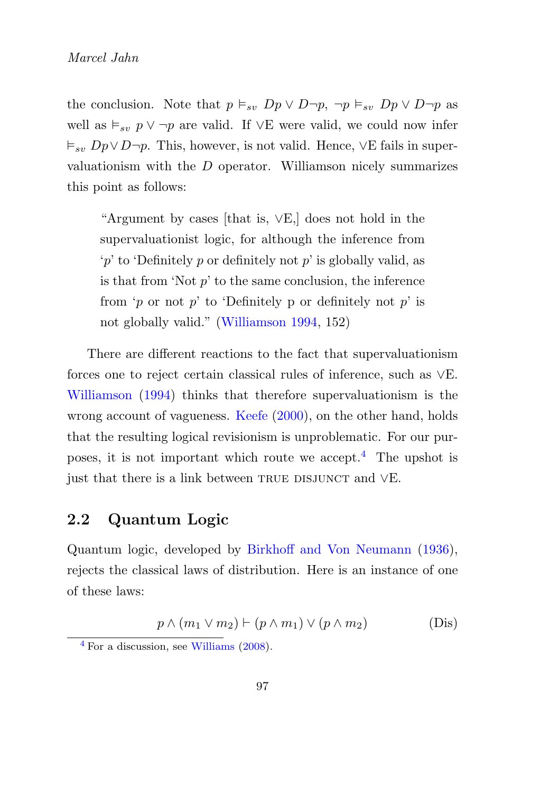the conclusion. Note that  $p \vDash_{sv} Dp \lor D\neg p$ ,  $\neg p \vDash_{sv} Dp \lor D\neg p$  as well as  $\vDash_{sv} p \lor \neg p$  are valid. If  $\lor$ E were valid, we could now infer  $\vDash_{\text{sv}} Dp \lor D\neg p$ . This, however, is not valid. Hence,  $\lor$ E fails in supervaluationism with the D operator. Williamson nicely summarizes this point as follows:

"Argument by cases [that is, ∨E,] does not hold in the supervaluationist logic, for although the inference from  $p'$  to 'Definitely p or definitely not p' is globally valid, as is that from 'Not  $p$ ' to the same conclusion, the inference from 'p or not p' to 'Definitely p or definitely not p' is not globally valid." (Williamson 1994, 152)

There are different reactions to the fact that supervaluationism forces one to reject certain classical rules of inference, such as ∨E. Williamson (1994) thinks that therefore supervaluationism is the wrong account of vagueness. Keefe (2000), on the other hand, holds that the resulting logical revisionism is unproblematic. For our purposes, it is not important which route we accept.4 The upshot is just that there is a link between TRUE DISJUNCT and  $\vee$ E.

## 2.2 Quantum Logic

Quantum logic, developed by Birkhoff and Von Neumann (1936), rejects the classical laws of distribution. Here is an instance of one of these laws:

$$
p \wedge (m_1 \vee m_2) \vdash (p \wedge m_1) \vee (p \wedge m_2) \tag{Dis}
$$

<sup>4</sup> For a discussion, see Williams (2008).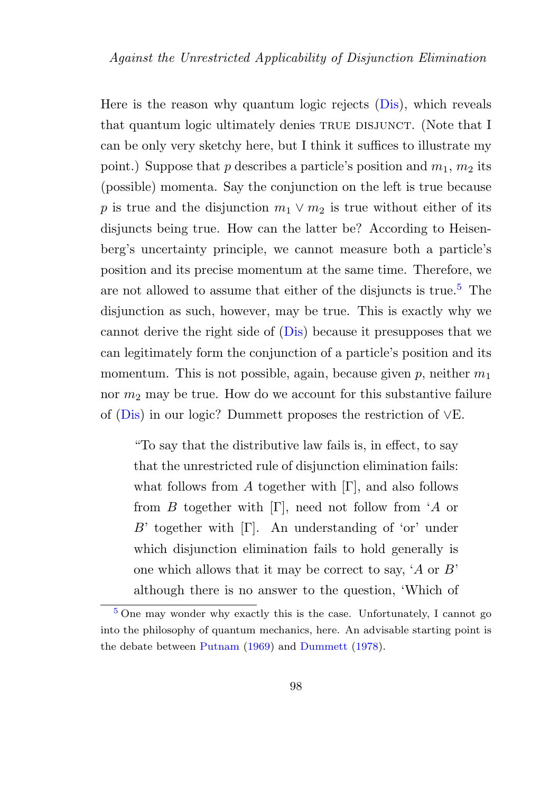Here is the reason why quantum logic rejects (Dis), which reveals that quantum logic ultimately denies TRUE DISJUNCT. (Note that I can be only very sketchy here, but I think it suffices to illustrate my point.) Suppose that p describes a particle's position and  $m_1, m_2$  its (possible) momenta. Say the conjunction on the left is true because p is true and the disjunction  $m_1 \vee m_2$  is true without either of its disjuncts being true. How can the latter be? According to Heisenberg's uncertainty principle, we cannot measure both a particle's position and its precise momentum at the same time. Therefore, we are not allowed to assume that either of the disjuncts is true.<sup>5</sup> The disjunction as such, however, may be true. This is exactly why we cannot derive the right side of (Dis) because it presupposes that we can legitimately form the conjunction of a particle's position and its momentum. This is not possible, again, because given p, neither  $m_1$ nor  $m_2$  may be true. How do we account for this substantive failure of (Dis) in our logic? Dummett proposes the restriction of ∨E.

"To say that the distributive law fails is, in effect, to say that the unrestricted rule of disjunction elimination fails: what follows from A together with  $[\Gamma]$ , and also follows from B together with  $[\Gamma]$ , need not follow from 'A or B' together with  $[\Gamma]$ . An understanding of 'or' under which disjunction elimination fails to hold generally is one which allows that it may be correct to say,  $'A$  or  $B'$ although there is no answer to the question, 'Which of

<sup>5</sup> One may wonder why exactly this is the case. Unfortunately, I cannot go into the philosophy of quantum mechanics, here. An advisable starting point is the debate between Putnam (1969) and Dummett (1978).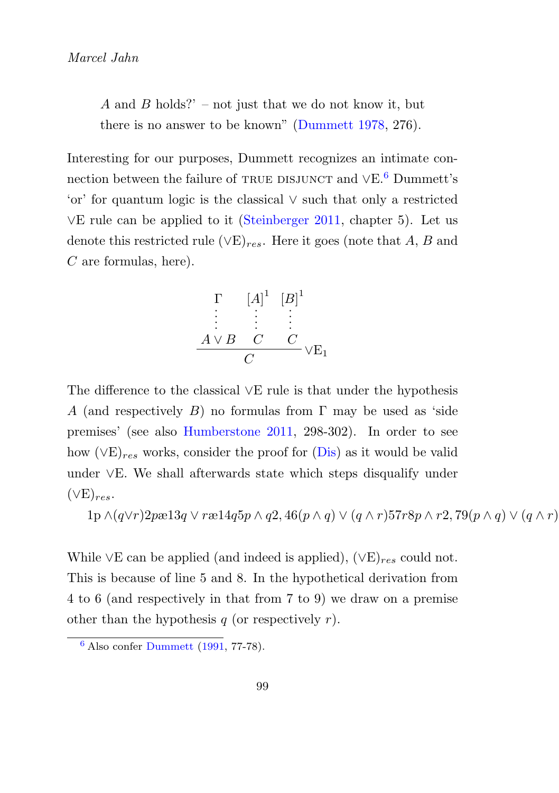A and B holds?' – not just that we do not know it, but there is no answer to be known" (Dummett 1978, 276).

Interesting for our purposes, Dummett recognizes an intimate connection between the failure of TRUE DISJUNCT and ∨E. $^6$  Dummett's 'or' for quantum logic is the classical ∨ such that only a restricted ∨E rule can be applied to it (Steinberger 2011, chapter 5). Let us denote this restricted rule  $(\vee E)_{res}$ . Here it goes (note that A, B and  $C$  are formulas, here).



The difference to the classical ∨E rule is that under the hypothesis A (and respectively B) no formulas from  $\Gamma$  may be used as 'side premises' (see also Humberstone 2011, 298-302). In order to see how  $(\forall E)_{res}$  works, consider the proof for (Dis) as it would be valid under ∨E. We shall afterwards state which steps disqualify under  $(VE)_{res}.$ 

 $1p \wedge (q \vee r)2p$ æ $13q \vee r$ æ $14q5p \wedge q2, 46(p \wedge q) \vee (q \wedge r)57r8p \wedge r2, 79(p \wedge q) \vee (q \wedge r)$ 

While ∨E can be applied (and indeed is applied),  $(\vee E)_{res}$  could not. This is because of line 5 and 8. In the hypothetical derivation from 4 to 6 (and respectively in that from 7 to 9) we draw on a premise other than the hypothesis q (or respectively  $r$ ).

 $6$  Also confer Dummett (1991, 77-78).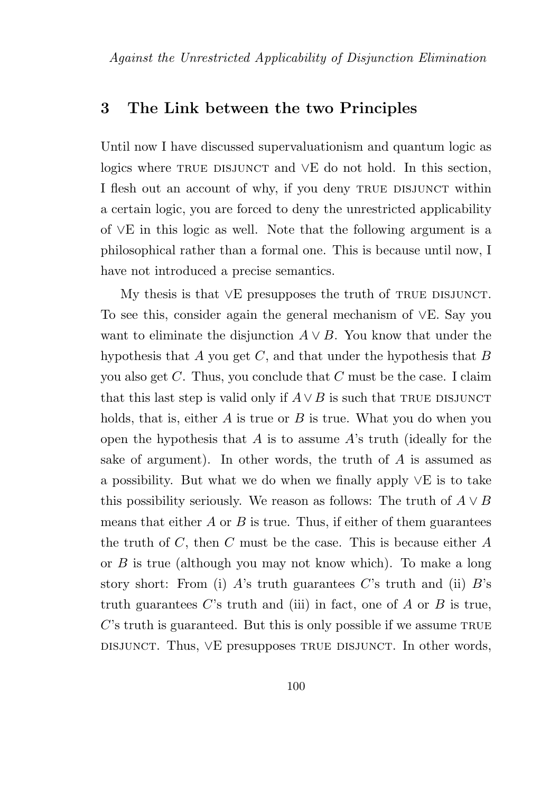## 3 The Link between the two Principles

Until now I have discussed supervaluationism and quantum logic as logics where TRUE DISJUNCT and ∨E do not hold. In this section, I flesh out an account of why, if you deny TRUE DISJUNCT within a certain logic, you are forced to deny the unrestricted applicability of ∨E in this logic as well. Note that the following argument is a philosophical rather than a formal one. This is because until now, I have not introduced a precise semantics.

My thesis is that  $\vee$ E presupposes the truth of TRUE DISJUNCT. To see this, consider again the general mechanism of ∨E. Say you want to eliminate the disjunction  $A \vee B$ . You know that under the hypothesis that  $A$  you get  $C$ , and that under the hypothesis that  $B$ you also get  $C$ . Thus, you conclude that  $C$  must be the case. I claim that this last step is valid only if  $A \vee B$  is such that TRUE DISJUNCT holds, that is, either  $A$  is true or  $B$  is true. What you do when you open the hypothesis that  $A$  is to assume  $A$ 's truth (ideally for the sake of argument). In other words, the truth of A is assumed as a possibility. But what we do when we finally apply ∨E is to take this possibility seriously. We reason as follows: The truth of  $A \vee B$ means that either  $A$  or  $B$  is true. Thus, if either of them guarantees the truth of  $C$ , then  $C$  must be the case. This is because either  $A$ or B is true (although you may not know which). To make a long story short: From (i)  $A$ 's truth guarantees  $C$ 's truth and (ii)  $B$ 's truth guarantees  $C$ 's truth and (iii) in fact, one of  $A$  or  $B$  is true,  $C$ 's truth is guaranteed. But this is only possible if we assume TRUE disjunct. Thus, ∨E presupposes true disjunct. In other words,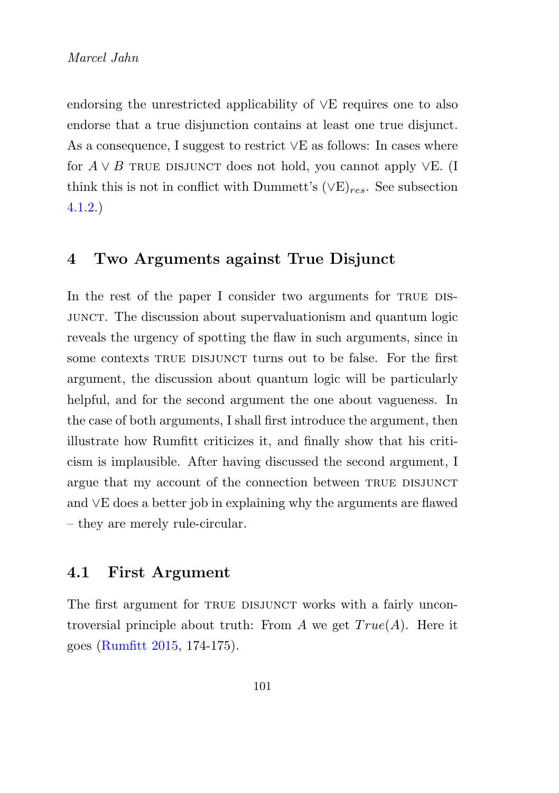endorsing the unrestricted applicability of ∨E requires one to also endorse that a true disjunction contains at least one true disjunct. As a consequence, I suggest to restrict ∨E as follows: In cases where for  $A \vee B$  true disjunct does not hold, you cannot apply  $\vee E$ . (I think this is not in conflict with Dummett's  $(\forall E)_{res}$ . See subsection 4.1.2.)

## 4 Two Arguments against True Disjunct

In the rest of the paper I consider two arguments for TRUE DISjunct. The discussion about supervaluationism and quantum logic reveals the urgency of spotting the flaw in such arguments, since in some contexts TRUE DISJUNCT turns out to be false. For the first argument, the discussion about quantum logic will be particularly helpful, and for the second argument the one about vagueness. In the case of both arguments, I shall first introduce the argument, then illustrate how Rumfitt criticizes it, and finally show that his criticism is implausible. After having discussed the second argument, I argue that my account of the connection between TRUE DISJUNCT and ∨E does a better job in explaining why the arguments are flawed – they are merely rule-circular.

## 4.1 First Argument

The first argument for TRUE DISJUNCT works with a fairly uncontroversial principle about truth: From A we get  $True(A)$ . Here it goes (Rumfitt 2015, 174-175).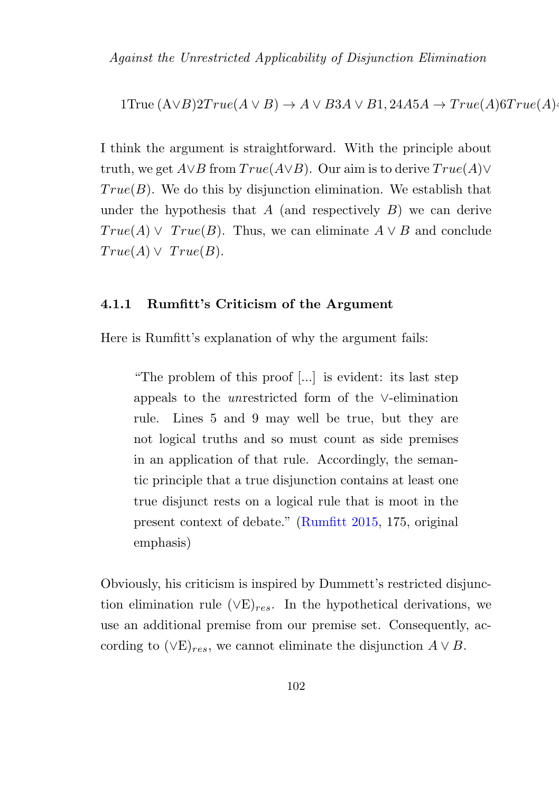1True 
$$
(A \lor B)2True(A \lor B) \rightarrow A \lor B3A \lor B1, 24A5A \rightarrow True(A)6True(A)
$$

I think the argument is straightforward. With the principle about truth, we get  $A\vee B$  from  $True(A\vee B)$ . Our aim is to derive  $True(A)\vee$  $True(B)$ . We do this by disjunction elimination. We establish that under the hypothesis that  $A$  (and respectively  $B$ ) we can derive  $True(A) \vee True(B)$ . Thus, we can eliminate  $A \vee B$  and conclude  $True(A) \vee True(B).$ 

#### 4.1.1 Rumfitt's Criticism of the Argument

Here is Rumfitt's explanation of why the argument fails:

"The problem of this proof [...] is evident: its last step appeals to the unrestricted form of the ∨-elimination rule. Lines 5 and 9 may well be true, but they are not logical truths and so must count as side premises in an application of that rule. Accordingly, the semantic principle that a true disjunction contains at least one true disjunct rests on a logical rule that is moot in the present context of debate." (Rumfitt 2015, 175, original emphasis)

Obviously, his criticism is inspired by Dummett's restricted disjunction elimination rule  $(\forall E)_{res}$ . In the hypothetical derivations, we use an additional premise from our premise set. Consequently, according to  $(\forall E)_{res}$ , we cannot eliminate the disjunction  $A \lor B$ .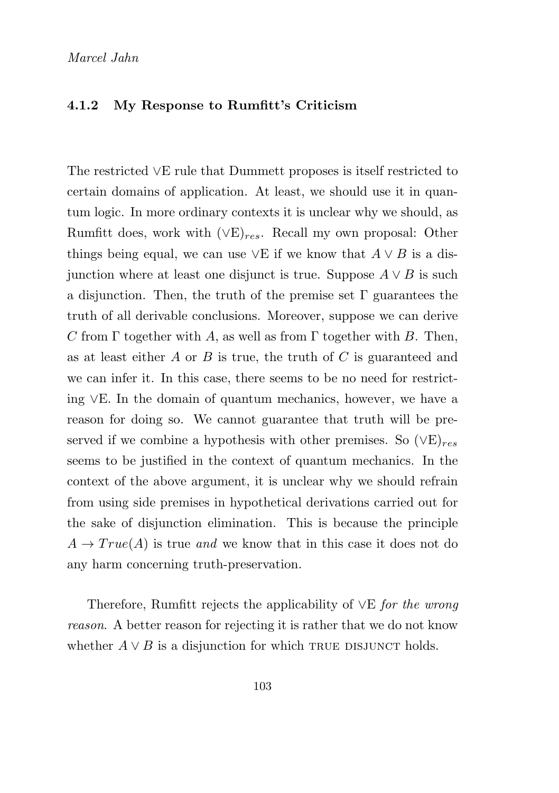#### 4.1.2 My Response to Rumfitt's Criticism

The restricted ∨E rule that Dummett proposes is itself restricted to certain domains of application. At least, we should use it in quantum logic. In more ordinary contexts it is unclear why we should, as Rumfitt does, work with  $(\forall E)_{res}$ . Recall my own proposal: Other things being equal, we can use  $\vee$ E if we know that  $A \vee B$  is a disjunction where at least one disjunct is true. Suppose  $A \vee B$  is such a disjunction. Then, the truth of the premise set  $\Gamma$  guarantees the truth of all derivable conclusions. Moreover, suppose we can derive C from  $\Gamma$  together with A, as well as from  $\Gamma$  together with B. Then, as at least either  $A$  or  $B$  is true, the truth of  $C$  is guaranteed and we can infer it. In this case, there seems to be no need for restricting ∨E. In the domain of quantum mechanics, however, we have a reason for doing so. We cannot guarantee that truth will be preserved if we combine a hypothesis with other premises. So  $(\vee E)_{res}$ seems to be justified in the context of quantum mechanics. In the context of the above argument, it is unclear why we should refrain from using side premises in hypothetical derivations carried out for the sake of disjunction elimination. This is because the principle  $A \rightarrow True(A)$  is true and we know that in this case it does not do any harm concerning truth-preservation.

Therefore, Rumfitt rejects the applicability of ∨E for the wrong reason. A better reason for rejecting it is rather that we do not know whether  $A \vee B$  is a disjunction for which TRUE DISJUNCT holds.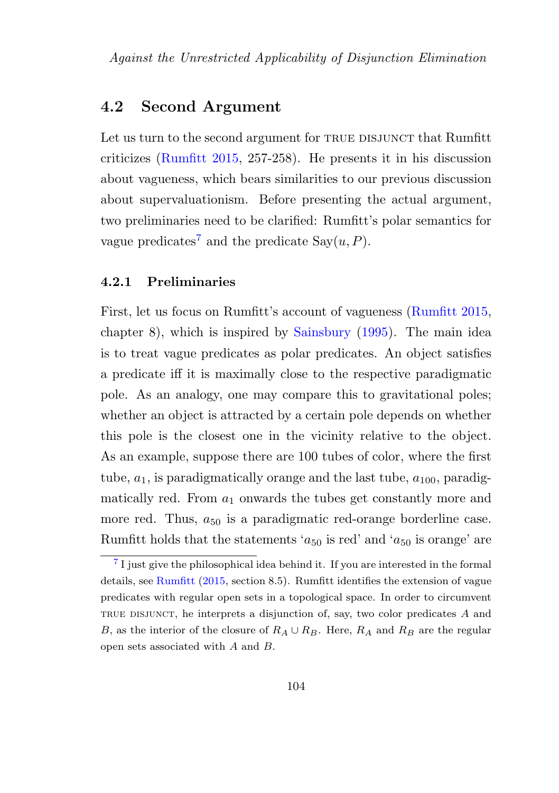## 4.2 Second Argument

Let us turn to the second argument for TRUE DISJUNCT that Rumfitt criticizes (Rumfitt 2015, 257-258). He presents it in his discussion about vagueness, which bears similarities to our previous discussion about supervaluationism. Before presenting the actual argument, two preliminaries need to be clarified: Rumfitt's polar semantics for vague predicates<sup>7</sup> and the predicate Say $(u, P)$ .

#### 4.2.1 Preliminaries

First, let us focus on Rumfitt's account of vagueness (Rumfitt 2015, chapter 8), which is inspired by Sainsbury (1995). The main idea is to treat vague predicates as polar predicates. An object satisfies a predicate iff it is maximally close to the respective paradigmatic pole. As an analogy, one may compare this to gravitational poles; whether an object is attracted by a certain pole depends on whether this pole is the closest one in the vicinity relative to the object. As an example, suppose there are 100 tubes of color, where the first tube,  $a_1$ , is paradigmatically orange and the last tube,  $a_{100}$ , paradigmatically red. From  $a_1$  onwards the tubes get constantly more and more red. Thus,  $a_{50}$  is a paradigmatic red-orange borderline case. Rumfitt holds that the statements ' $a_{50}$  is red' and ' $a_{50}$  is orange' are

<sup>7</sup> I just give the philosophical idea behind it. If you are interested in the formal details, see Rumfitt (2015, section 8.5). Rumfitt identifies the extension of vague predicates with regular open sets in a topological space. In order to circumvent TRUE DISJUNCT, he interprets a disjunction of, say, two color predicates  $A$  and B, as the interior of the closure of  $R_A \cup R_B$ . Here,  $R_A$  and  $R_B$  are the regular open sets associated with A and B.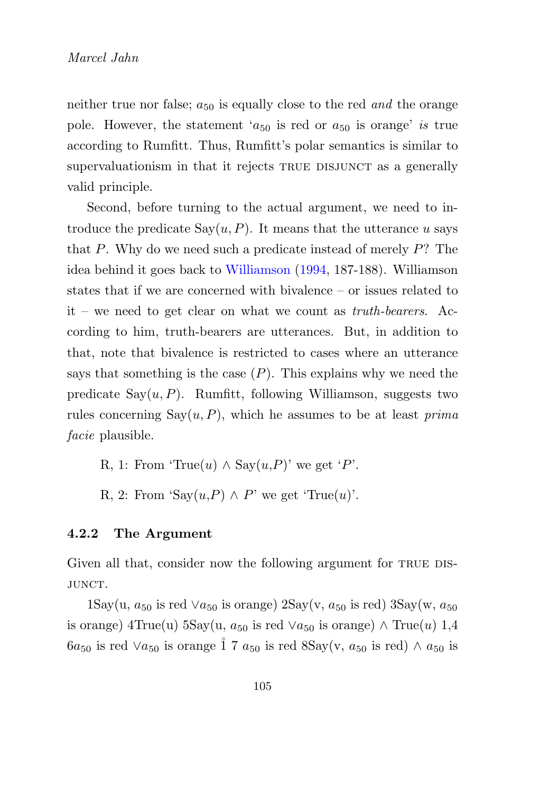neither true nor false;  $a_{50}$  is equally close to the red *and* the orange pole. However, the statement ' $a_{50}$  is red or  $a_{50}$  is orange' is true according to Rumfitt. Thus, Rumfitt's polar semantics is similar to supervaluationism in that it rejects TRUE DISJUNCT as a generally valid principle.

Second, before turning to the actual argument, we need to introduce the predicate  $Sav(u, P)$ . It means that the utterance u says that  $P$ . Why do we need such a predicate instead of merely  $P$ ? The idea behind it goes back to Williamson (1994, 187-188). Williamson states that if we are concerned with bivalence – or issues related to it – we need to get clear on what we count as truth-bearers. According to him, truth-bearers are utterances. But, in addition to that, note that bivalence is restricted to cases where an utterance says that something is the case  $(P)$ . This explains why we need the predicate  $Sav(u, P)$ . Rumfitt, following Williamson, suggests two rules concerning  $Say(u, P)$ , which he assumes to be at least *prima* facie plausible.

R, 1: From 'True $(u) \wedge$  Say $(u, P)$ ' we get 'P'.

R, 2: From 'Say $(u, P) \wedge P'$  we get 'True $(u)$ '.

#### 4.2.2 The Argument

Given all that, consider now the following argument for TRUE DIS-JUNCT.

 $1$ Say(u,  $a_{50}$  is red  $\vee a_{50}$  is orange)  $2$ Say(v,  $a_{50}$  is red)  $3$ Say(w,  $a_{50}$ is orange) 4True(u)  $5$ Say(u,  $a_{50}$  is red  $\vee a_{50}$  is orange)  $\wedge$  True(u) 1,4  $6a_{50}$  is red  $\vee a_{50}$  is orange 1 7  $a_{50}$  is red 8Say(v,  $a_{50}$  is red)  $\wedge a_{50}$  is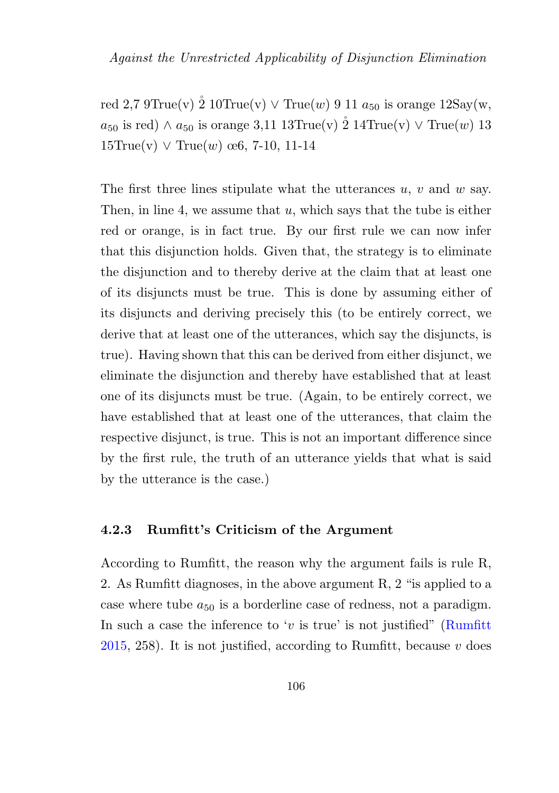Against the Unrestricted Applicability of Disjunction Elimination

red 2,7 9True(v)  $\hat{2}$  10True(v) ∨ True(w) 9 11  $a_{50}$  is orange 12Say(w,  $a_{50}$  is red)  $\wedge a_{50}$  is orange 3,11 13True(v)  $\overset{\circ}{2}$  14True(v)  $\vee$  True(w) 13  $15$ True(v)  $\vee$  True(w) œ6, 7-10, 11-14

The first three lines stipulate what the utterances  $u, v$  and  $w$  say. Then, in line 4, we assume that  $u$ , which says that the tube is either red or orange, is in fact true. By our first rule we can now infer that this disjunction holds. Given that, the strategy is to eliminate the disjunction and to thereby derive at the claim that at least one of its disjuncts must be true. This is done by assuming either of its disjuncts and deriving precisely this (to be entirely correct, we derive that at least one of the utterances, which say the disjuncts, is true). Having shown that this can be derived from either disjunct, we eliminate the disjunction and thereby have established that at least one of its disjuncts must be true. (Again, to be entirely correct, we have established that at least one of the utterances, that claim the respective disjunct, is true. This is not an important difference since by the first rule, the truth of an utterance yields that what is said by the utterance is the case.)

#### 4.2.3 Rumfitt's Criticism of the Argument

According to Rumfitt, the reason why the argument fails is rule R, 2. As Rumfitt diagnoses, in the above argument R, 2 "is applied to a case where tube  $a_{50}$  is a borderline case of redness, not a paradigm. In such a case the inference to 'v is true' is not justified" (Rumfitt  $2015, 258$ ). It is not justified, according to Rumfitt, because v does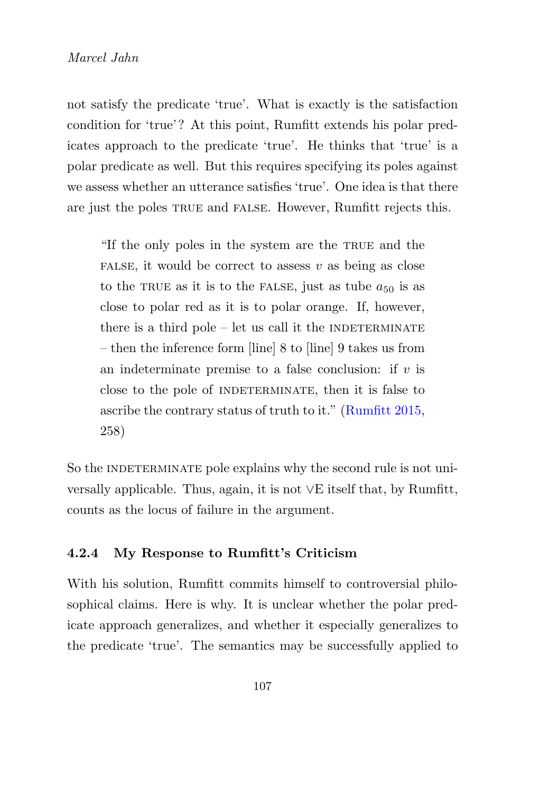not satisfy the predicate 'true'. What is exactly is the satisfaction condition for 'true'? At this point, Rumfitt extends his polar predicates approach to the predicate 'true'. He thinks that 'true' is a polar predicate as well. But this requires specifying its poles against we assess whether an utterance satisfies 'true'. One idea is that there are just the poles TRUE and FALSE. However, Rumfitt rejects this.

"If the only poles in the system are the true and the FALSE, it would be correct to assess  $v$  as being as close to the TRUE as it is to the FALSE, just as tube  $a_{50}$  is as close to polar red as it is to polar orange. If, however, there is a third pole  $-$  let us call it the INDETERMINATE – then the inference form [line] 8 to [line] 9 takes us from an indeterminate premise to a false conclusion: if  $v$  is close to the pole of INDETERMINATE, then it is false to ascribe the contrary status of truth to it." (Rumfitt 2015, 258)

So the INDETERMINATE pole explains why the second rule is not universally applicable. Thus, again, it is not ∨E itself that, by Rumfitt, counts as the locus of failure in the argument.

#### 4.2.4 My Response to Rumfitt's Criticism

With his solution, Rumfitt commits himself to controversial philosophical claims. Here is why. It is unclear whether the polar predicate approach generalizes, and whether it especially generalizes to the predicate 'true'. The semantics may be successfully applied to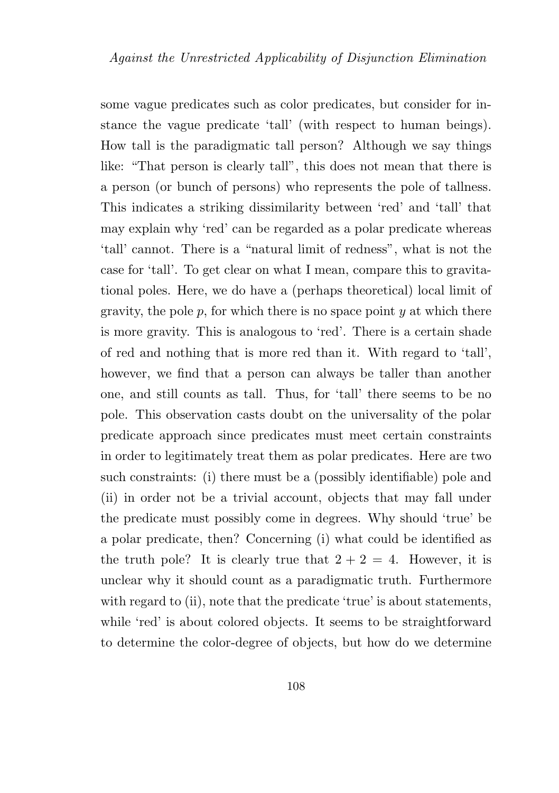some vague predicates such as color predicates, but consider for instance the vague predicate 'tall' (with respect to human beings). How tall is the paradigmatic tall person? Although we say things like: "That person is clearly tall", this does not mean that there is a person (or bunch of persons) who represents the pole of tallness. This indicates a striking dissimilarity between 'red' and 'tall' that may explain why 'red' can be regarded as a polar predicate whereas 'tall' cannot. There is a "natural limit of redness", what is not the case for 'tall'. To get clear on what I mean, compare this to gravitational poles. Here, we do have a (perhaps theoretical) local limit of gravity, the pole p, for which there is no space point  $y$  at which there is more gravity. This is analogous to 'red'. There is a certain shade of red and nothing that is more red than it. With regard to 'tall', however, we find that a person can always be taller than another one, and still counts as tall. Thus, for 'tall' there seems to be no pole. This observation casts doubt on the universality of the polar predicate approach since predicates must meet certain constraints in order to legitimately treat them as polar predicates. Here are two such constraints: (i) there must be a (possibly identifiable) pole and (ii) in order not be a trivial account, objects that may fall under the predicate must possibly come in degrees. Why should 'true' be a polar predicate, then? Concerning (i) what could be identified as the truth pole? It is clearly true that  $2 + 2 = 4$ . However, it is unclear why it should count as a paradigmatic truth. Furthermore with regard to (ii), note that the predicate 'true' is about statements, while 'red' is about colored objects. It seems to be straightforward to determine the color-degree of objects, but how do we determine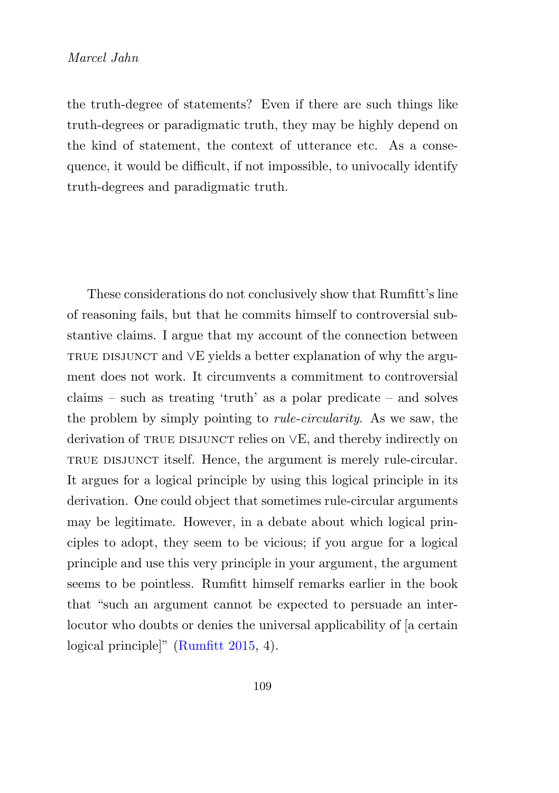the truth-degree of statements? Even if there are such things like truth-degrees or paradigmatic truth, they may be highly depend on the kind of statement, the context of utterance etc. As a consequence, it would be difficult, if not impossible, to univocally identify truth-degrees and paradigmatic truth.

These considerations do not conclusively show that Rumfitt's line of reasoning fails, but that he commits himself to controversial substantive claims. I argue that my account of the connection between TRUE DISJUNCT and ∨E yields a better explanation of why the argument does not work. It circumvents a commitment to controversial claims – such as treating 'truth' as a polar predicate – and solves the problem by simply pointing to rule-circularity. As we saw, the derivation of TRUE DISJUNCT relies on  $\vee$ E, and thereby indirectly on TRUE DISJUNCT itself. Hence, the argument is merely rule-circular. It argues for a logical principle by using this logical principle in its derivation. One could object that sometimes rule-circular arguments may be legitimate. However, in a debate about which logical principles to adopt, they seem to be vicious; if you argue for a logical principle and use this very principle in your argument, the argument seems to be pointless. Rumfitt himself remarks earlier in the book that "such an argument cannot be expected to persuade an interlocutor who doubts or denies the universal applicability of [a certain logical principle]" (Rumfitt 2015, 4).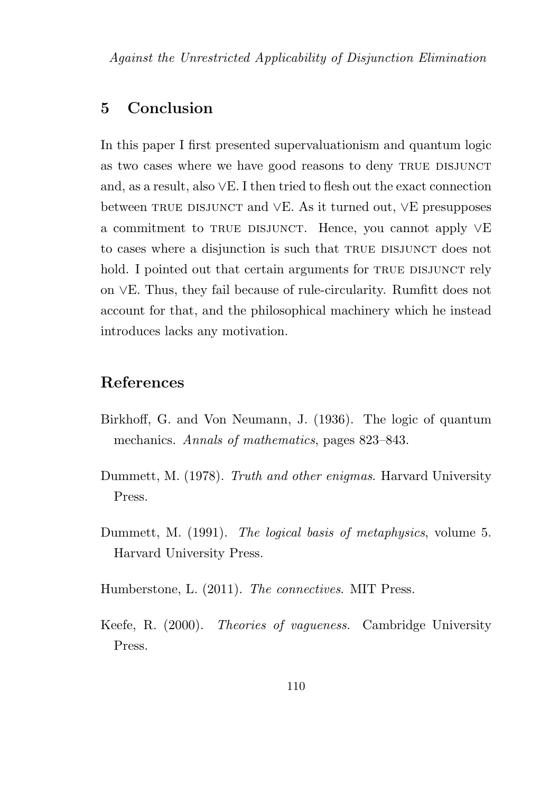## 5 Conclusion

In this paper I first presented supervaluationism and quantum logic as two cases where we have good reasons to deny TRUE DISJUNCT and, as a result, also ∨E. I then tried to flesh out the exact connection between TRUE DISJUNCT and ∨E. As it turned out, ∨E presupposes a commitment to TRUE DISJUNCT. Hence, you cannot apply  $\vee$ E to cases where a disjunction is such that TRUE DISJUNCT does not hold. I pointed out that certain arguments for TRUE DISJUNCT rely on ∨E. Thus, they fail because of rule-circularity. Rumfitt does not account for that, and the philosophical machinery which he instead introduces lacks any motivation.

## References

- Birkhoff, G. and Von Neumann, J. (1936). The logic of quantum mechanics. Annals of mathematics, pages 823–843.
- Dummett, M. (1978). Truth and other enigmas. Harvard University Press.
- Dummett, M. (1991). The logical basis of metaphysics, volume 5. Harvard University Press.
- Humberstone, L. (2011). The connectives. MIT Press.
- Keefe, R. (2000). Theories of vagueness. Cambridge University Press.